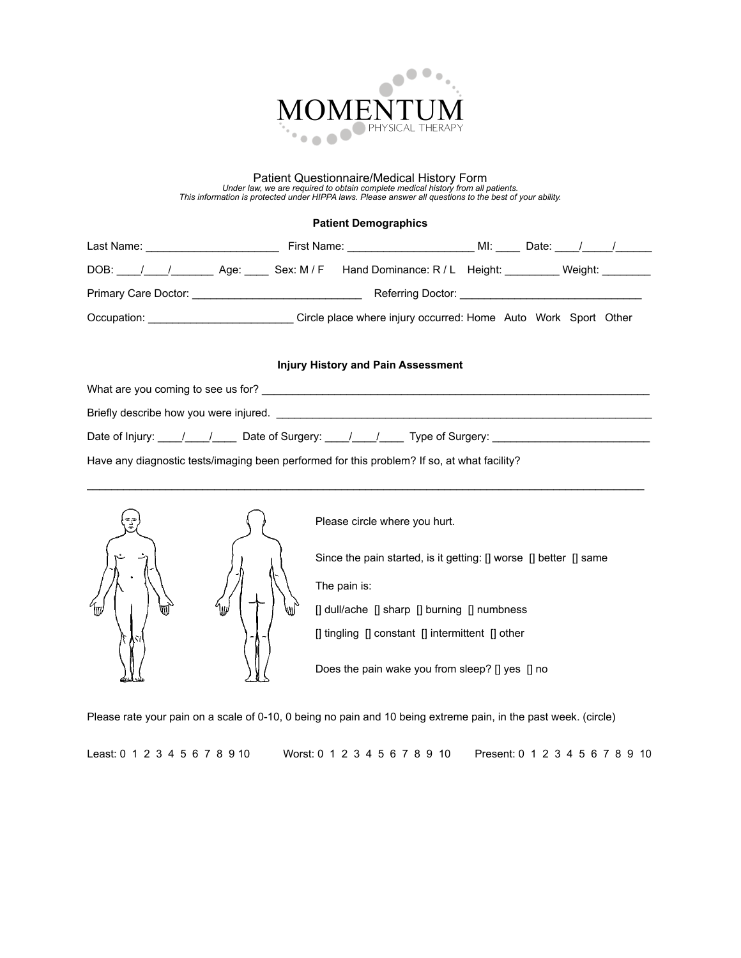

## Patient Questionnaire/Medical History Form<br>Under law, we are required to obtain complete medical history from all patients.<br>This information is protected under HIPPA laws. Please answer all questions to the best of your ab

## **Patient Demographics**

|     | DOB: / / / Age: Sex: M/F Hand Dominance: R/L Height: Weight:                                                            |  |  |  |  |  |  |
|-----|-------------------------------------------------------------------------------------------------------------------------|--|--|--|--|--|--|
|     |                                                                                                                         |  |  |  |  |  |  |
|     | Occupation: ______________________________Circle place where injury occurred: Home Auto Work Sport Other                |  |  |  |  |  |  |
|     | <b>Injury History and Pain Assessment</b>                                                                               |  |  |  |  |  |  |
|     |                                                                                                                         |  |  |  |  |  |  |
|     | Briefly describe how you were injured. <b>Example 2008</b> 2014 12:30 AM and the state of the state of the state of the |  |  |  |  |  |  |
|     | Date of Injury: ____/____/_____ Date of Surgery: ____/____/_____ Type of Surgery: ________________________              |  |  |  |  |  |  |
|     | Have any diagnostic tests/imaging been performed for this problem? If so, at what facility?                             |  |  |  |  |  |  |
|     | Please circle where you hurt.                                                                                           |  |  |  |  |  |  |
| ИII | Since the pain started, is it getting: [] worse [] better [] same                                                       |  |  |  |  |  |  |
|     | The pain is:                                                                                                            |  |  |  |  |  |  |
|     | [] dull/ache [] sharp [] burning [] numbness                                                                            |  |  |  |  |  |  |
|     | [] tingling [] constant [] intermittent [] other                                                                        |  |  |  |  |  |  |
|     | Does the pain wake you from sleep? [] yes [] no                                                                         |  |  |  |  |  |  |

Please rate your pain on a scale of 0-10, 0 being no pain and 10 being extreme pain, in the past week. (circle)

Least: 0 1 2 3 4 5 6 7 8 9 10 Worst: 0 1 2 3 4 5 6 7 8 9 10 Present: 0 1 2 3 4 5 6 7 8 9 10